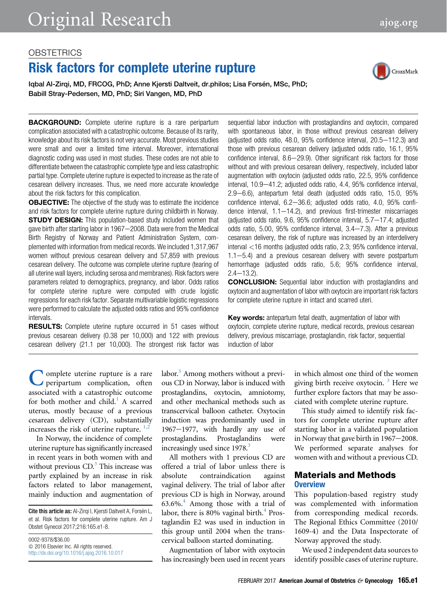## **OBSTETRICS**

# Risk factors for complete uterine rupture

Iqbal Al-Zirqi, MD, FRCOG, PhD; Anne Kjersti Daltveit, dr.philos; Lisa Forsén, MSc, PhD; Babill Stray-Pedersen, MD, PhD; Siri Vangen, MD, PhD



**BACKGROUND:** Complete uterine rupture is a rare peripartum complication associated with a catastrophic outcome. Because of its rarity, knowledge about its risk factors is not very accurate. Most previous studies were small and over a limited time interval. Moreover, international diagnostic coding was used in most studies. These codes are not able to differentiate between the catastrophic complete type and less catastrophic partial type. Complete uterine rupture is expected to increase as the rate of cesarean delivery increases. Thus, we need more accurate knowledge about the risk factors for this complication.

**OBJECTIVE:** The objective of the study was to estimate the incidence and risk factors for complete uterine rupture during childbirth in Norway. **STUDY DESIGN:** This population-based study included women that gave birth after starting labor in 1967-2008. Data were from the Medical Birth Registry of Norway and Patient Administration System, complemented with information from medical records. We included 1,317,967 women without previous cesarean delivery and 57,859 with previous cesarean delivery. The outcome was complete uterine rupture (tearing of all uterine wall layers, including serosa and membranes). Risk factors were parameters related to demographics, pregnancy, and labor. Odds ratios for complete uterine rupture were computed with crude logistic regressions for each risk factor. Separate multivariable logistic regressions were performed to calculate the adjusted odds ratios and 95% confidence intervals.

**RESULTS:** Complete uterine rupture occurred in 51 cases without previous cesarean delivery (0.38 per 10,000) and 122 with previous cesarean delivery (21.1 per 10,000). The strongest risk factor was sequential labor induction with prostaglandins and oxytocin, compared with spontaneous labor, in those without previous cesarean delivery (adjusted odds ratio,  $48.0$ ,  $95\%$  confidence interval,  $20.5-112.3$ ) and those with previous cesarean delivery (adjusted odds ratio, 16.1, 95% confidence interval,  $8.6-29.9$ ). Other significant risk factors for those without and with previous cesarean delivery, respectively, included labor augmentation with oxytocin (adjusted odds ratio, 22.5, 95% confidence interval, 10.9-41.2; adjusted odds ratio, 4.4, 95% confidence interval, 2.9-6.6), antepartum fetal death (adjusted odds ratio, 15.0, 95% confidence interval,  $6.2-36.6$ ; adjusted odds ratio,  $4.0$ ,  $95\%$  confidence interval,  $1.1-14.2$ ), and previous first-trimester miscarriages (adjusted odds ratio,  $9.6$ ,  $95\%$  confidence interval,  $5.7-17.4$ ; adjusted odds ratio,  $5.00$ ,  $95\%$  confidence interval,  $3.4-7.3$ ). After a previous cesarean delivery, the risk of rupture was increased by an interdelivery interval <16 months (adjusted odds ratio, 2.3; 95% confidence interval,  $1.1-5.4$ ) and a previous cesarean delivery with severe postpartum hemorrhage (adjusted odds ratio, 5.6; 95% confidence interval,  $2.4 - 13.2$ ).

CONCLUSION: Sequential labor induction with prostaglandins and oxytocin and augmentation of labor with oxytocin are important risk factors for complete uterine rupture in intact and scarred uteri.

Key words: antepartum fetal death, augmentation of labor with oxytocin, complete uterine rupture, medical records, previous cesarean delivery, previous miscarriage, prostaglandin, risk factor, sequential induction of labor

C omplete uterine rupture is a rare<br>associated with a catastrophic outcome<br>for both mother and child.<sup>[1](#page-6-0)</sup> A scarred peripartum complication, often associated with a catastrophic outcome uterus, mostly because of a previous cesarean delivery (CD), substantially increases the risk of uterine rupture.  $1,2$ 

In Norway, the incidence of complete uterine rupture has significantly increased in recent years in both women with and without previous  $CD<sup>3</sup>$  $CD<sup>3</sup>$  $CD<sup>3</sup>$ . This increase was partly explained by an increase in risk factors related to labor management, mainly induction and augmentation of

Cite this article as: Al-Zirgi I, Kjersti Daltveit A, Forsén L, et al. Risk factors for complete uterine rupture. Am J Obstet Gynecol 2017;216:165.e1-8.

0002-9378/\$36.00  $© 2016 Elsevier Inc. All rights reserved.$ <http://dx.doi.org/10.1016/j.ajog.2016.10.017> labor.<sup>3</sup> Among mothers without a previous CD in Norway, labor is induced with prostaglandins, oxytocin, amniotomy, and other mechanical methods such as transcervical balloon catheter. Oxytocin induction was predominantly used in  $1967-1977$ , with hardly any use of prostaglandins. Prostaglandins were increasingly used since  $1978$ .<sup>3</sup>

All mothers with 1 previous CD are offered a trial of labor unless there is absolute contraindication against vaginal delivery. The trial of labor after previous CD is high in Norway, around  $63.6\%$ <sup>[4](#page-6-0)</sup> Among those with a trial of labor, there is 80% vaginal birth. $4$  Prostaglandin E2 was used in induction in this group until 2004 when the transcervical balloon started dominating.

Augmentation of labor with oxytocin has increasingly been used in recent years

in which almost one third of the women giving birth receive oxytocin.  $3$  Here we further explore factors that may be associated with complete uterine rupture.

This study aimed to identify risk factors for complete uterine rupture after starting labor in a validated population in Norway that gave birth in  $1967-2008$ . We performed separate analyses for women with and without a previous CD.

## Materials and Methods **Overview**

This population-based registry study was complemented with information from corresponding medical records. The Regional Ethics Committee (2010/ 1609-4) and the Data Inspectorate of Norway approved the study.

We used 2 independent data sources to identify possible cases of uterine rupture.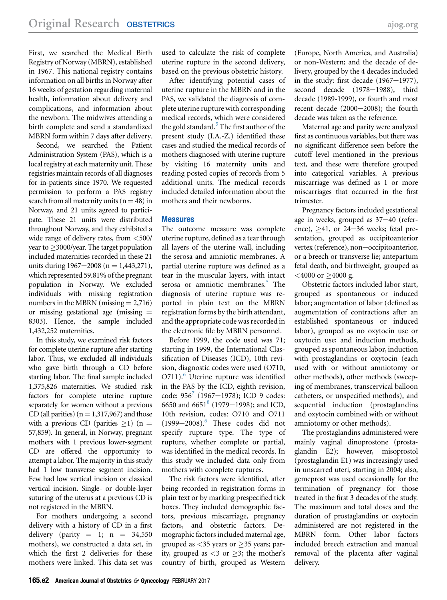First, we searched the Medical Birth Registry of Norway (MBRN), established in 1967. This national registry contains information on all births in Norway after 16 weeks of gestation regarding maternal health, information about delivery and complications, and information about the newborn. The midwives attending a birth complete and send a standardized MBRN form within 7 days after delivery.

Second, we searched the Patient Administration System (PAS), which is a local registry at each maternity unit. These registries maintain records of all diagnoses for in-patients since 1970. We requested permission to perform a PAS registry search from all maternity units  $(n = 48)$  in Norway, and 21 units agreed to participate. These 21 units were distributed throughout Norway, and they exhibited a wide range of delivery rates, from <500/  $year to \geq 3000/year.$  The target population included maternities recorded in these 21 units during  $1967-2008$  (n = 1,443,271), which represented 59.81% of the pregnant population in Norway. We excluded individuals with missing registration numbers in the MBRN (missing  $= 2,716$ ) or missing gestational age (missing  $=$ 8303). Hence, the sample included 1,432,252 maternities.

In this study, we examined risk factors for complete uterine rupture after starting labor. Thus, we excluded all individuals who gave birth through a CD before starting labor. The final sample included 1,375,826 maternities. We studied risk factors for complete uterine rupture separately for women without a previous CD (all parities) ( $n = 1,317,967$ ) and those with a previous CD (parities  $\geq$ 1) (n = 57,859). In general, in Norway, pregnant mothers with 1 previous lower-segment CD are offered the opportunity to attempt a labor. The majority in this study had 1 low transverse segment incision. Few had low vertical incision or classical vertical incision. Single- or double-layer suturing of the uterus at a previous CD is not registered in the MBRN.

For mothers undergoing a second delivery with a history of CD in a first delivery (parity  $= 1$ ; n  $= 34,550$ mothers), we constructed a data set, in which the first 2 deliveries for these mothers were linked. This data set was used to calculate the risk of complete uterine rupture in the second delivery, based on the previous obstetric history.

After identifying potential cases of uterine rupture in the MBRN and in the PAS, we validated the diagnosis of complete uterine rupture with corresponding medical records, which were considered the gold standard. $5$  The first author of the present study (I.A.-Z.) identified these cases and studied the medical records of mothers diagnosed with uterine rupture by visiting 16 maternity units and reading posted copies of records from 5 additional units. The medical records included detailed information about the mothers and their newborns.

## **Measures**

The outcome measure was complete uterine rupture, defined as a tear through all layers of the uterine wall, including the serosa and amniotic membranes. A partial uterine rupture was defined as a tear in the muscular layers, with intact serosa or amniotic membranes.<sup>[5](#page-6-0)</sup> The diagnosis of uterine rupture was reported in plain text on the MBRN registration forms by the birth attendant, and the appropriate code was recorded in the electronic file by MBRN personnel.

Before 1999, the code used was 71; starting in 1999, the International Classification of Diseases (ICD), 10th revision, diagnostic codes were used (O710, O711).<sup>[6](#page-6-0)</sup> Uterine rupture was identified in the PAS by the ICD, eighth revision, code:  $956^7$  $956^7$  (1967-1978); ICD 9 codes: 6650 and 6651<sup>[8](#page-6-0)</sup> (1979–1998); and ICD, 10th revision, codes: O710 and O711  $(1999-2008).$ <sup>[6](#page-6-0)</sup> These codes did not specify rupture type. The type of rupture, whether complete or partial, was identified in the medical records. In this study we included data only from mothers with complete ruptures.

The risk factors were identified, after being recorded in registration forms in plain text or by marking prespecified tick boxes. They included demographic factors, previous miscarriage, pregnancy factors, and obstetric factors. Demographic factors included maternal age, grouped as  $\lt35$  years or  $\geq$ 35 years; parity, grouped as  $\lt 3$  or  $\geq 3$ ; the mother's country of birth, grouped as Western

(Europe, North America, and Australia) or non-Western; and the decade of delivery, grouped by the 4 decades included in the study: first decade  $(1967-1977)$ , second decade (1978-1988), third decade (1989-1999), or fourth and most recent decade  $(2000-2008)$ ; the fourth decade was taken as the reference.

Maternal age and parity were analyzed first as continuous variables, but there was no significant difference seen before the cutoff level mentioned in the previous text, and these were therefore grouped into categorical variables. A previous miscarriage was defined as 1 or more miscarriages that occurred in the first trimester.

Pregnancy factors included gestational age in weeks, grouped as  $37-40$  (reference),  $\geq$ 41, or 24–36 weeks; fetal presentation, grouped as occipitoanterior vertex (reference), non-occipitoanterior, or a breech or transverse lie; antepartum fetal death, and birthweight, grouped as  $<$ 4000 or  $\geq$ 4000 g.

Obstetric factors included labor start, grouped as spontaneous or induced labor; augmentation of labor (defined as augmentation of contractions after an established spontaneous or induced labor), grouped as no oxytocin use or oxytocin use; and induction methods, grouped as spontaneous labor, induction with prostaglandins or oxytocin (each used with or without amniotomy or other methods), other methods (sweeping of membranes, transcervical balloon catheters, or unspecified methods), and sequential induction (prostaglandins and oxytocin combined with or without amniotomy or other methods).

The prostaglandins administered were mainly vaginal dinoprostone (prostaglandin E2); however, misoprostol (prostaglandin E1) was increasingly used in unscarred uteri, starting in 2004; also, gemeprost was used occasionally for the termination of pregnancy for those treated in the first 3 decades of the study. The maximum and total doses and the duration of prostaglandins or oxytocin administered are not registered in the MBRN form. Other labor factors included breech extraction and manual removal of the placenta after vaginal delivery.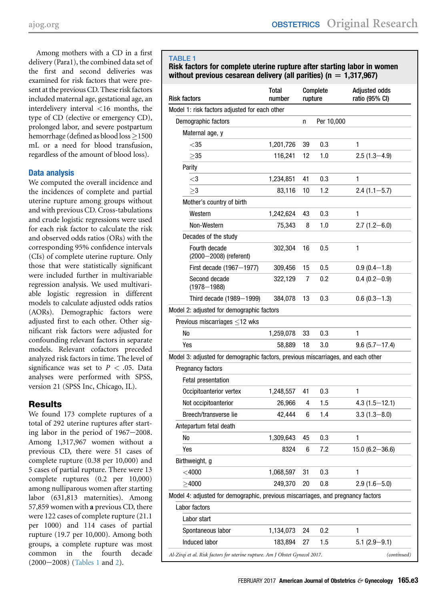<span id="page-2-0"></span>Among mothers with a CD in a first delivery (Para1), the combined data set of the first and second deliveries was examined for risk factors that were present at the previous CD. These risk factors included maternal age, gestational age, an interdelivery interval <16 months, the type of CD (elective or emergency CD), prolonged labor, and severe postpartum hemorrhage (defined as blood  $loss \ge 1500$ mL or a need for blood transfusion, regardless of the amount of blood loss).

## Data analysis

We computed the overall incidence and the incidences of complete and partial uterine rupture among groups without and with previous CD. Cross-tabulations and crude logistic regressions were used for each risk factor to calculate the risk and observed odds ratios (ORs) with the corresponding 95% confidence intervals (CIs) of complete uterine rupture. Only those that were statistically significant were included further in multivariable regression analysis. We used multivariable logistic regression in different models to calculate adjusted odds ratios (AORs). Demographic factors were adjusted first to each other. Other significant risk factors were adjusted for confounding relevant factors in separate models. Relevant cofactors preceded analyzed risk factors in time. The level of significance was set to  $P < .05$ . Data analyses were performed with SPSS, version 21 (SPSS Inc, Chicago, IL).

# **Results**

We found 173 complete ruptures of a total of 292 uterine ruptures after starting labor in the period of  $1967-2008$ . Among 1,317,967 women without a previous CD, there were 51 cases of complete rupture (0.38 per 10,000) and 5 cases of partial rupture. There were 13 complete ruptures (0.2 per 10,000) among nulliparous women after starting labor (631,813 maternities). Among 57,859 women with a previous CD, there were 122 cases of complete rupture (21.1 per 1000) and 114 cases of partial rupture (19.7 per 10,000). Among both groups, a complete rupture was most common in the fourth decade  $(2000-2008)$  (Tables 1 and [2\)](#page-4-0).

## TABLE 1

Risk factors for complete uterine rupture after starting labor in women without previous cesarean delivery (all parities) ( $n = 1,317,967$ )

| Risk factors                                                                     | Total<br>number | rupture | Complete   | <b>Adjusted odds</b><br>ratio (95% CI) |
|----------------------------------------------------------------------------------|-----------------|---------|------------|----------------------------------------|
| Model 1: risk factors adjusted for each other                                    |                 |         |            |                                        |
| Demographic factors                                                              |                 | n       | Per 10,000 |                                        |
| Maternal age, y                                                                  |                 |         |            |                                        |
| $<$ 35                                                                           | 1,201,726       | 39      | 0.3        | 1                                      |
| >35                                                                              | 116,241         | 12      | 1.0        | $2.5(1.3 - 4.9)$                       |
| Parity                                                                           |                 |         |            |                                        |
| $<$ 3                                                                            | 1,234,851       | 41      | 0.3        | 1                                      |
| $>\!\!3$                                                                         | 83,116          | 10      | 1.2        | $2.4(1.1 - 5.7)$                       |
| Mother's country of birth                                                        |                 |         |            |                                        |
| Western                                                                          | 1,242,624       | 43      | 0.3        | 1                                      |
| Non-Western                                                                      | 75,343          | 8       | 1.0        | $2.7(1.2 - 6.0)$                       |
| Decades of the study                                                             |                 |         |            |                                        |
| Fourth decade<br>(2000-2008) (referent)                                          | 302,304         | 16      | 0.5        | $\mathbf{1}$                           |
| First decade (1967-1977)                                                         | 309,456         | 15      | 0.5        | $0.9(0.4-1.8)$                         |
| Second decade<br>$(1978 - 1988)$                                                 | 322,129         | 7       | 0.2        | $0.4(0.2 - 0.9)$                       |
| Third decade (1989-1999)                                                         | 384,078         | 13      | 0.3        | $0.6(0.3-1.3)$                         |
| Model 2: adjusted for demographic factors                                        |                 |         |            |                                        |
| Previous miscarriages $\leq$ 12 wks                                              |                 |         |            |                                        |
| No                                                                               | 1,259,078       | 33      | 0.3        | 1                                      |
| Yes                                                                              | 58,889          | 18      | 3.0        | $9.6(5.7 - 17.4)$                      |
| Model 3: adjusted for demographic factors, previous miscarriages, and each other |                 |         |            |                                        |
| Pregnancy factors                                                                |                 |         |            |                                        |
| Fetal presentation                                                               |                 |         |            |                                        |
| Occipitoanterior vertex                                                          | 1,248,557       | 41      | 0.3        | 1                                      |
| Not occipitoanterior                                                             | 26,966          | 4       | 1.5        | $4.3(1.5 - 12.1)$                      |
| Breech/transverse lie                                                            | 42,444          | 6       | 1.4        | $3.3(1.3 - 8.0)$                       |
| Antepartum fetal death                                                           |                 |         |            |                                        |
| No                                                                               | 1,309,643       | 45      | 0.3        | 1                                      |
| Yes                                                                              | 8324            | 6       | 7.2        | $15.0(6.2 - 36.6)$                     |
| Birthweight, g                                                                   |                 |         |            |                                        |
| $<$ 4000                                                                         | 1,068,597       | 31      | 0.3        | $\mathbf{1}$                           |
| >4000                                                                            | 249,370         | 20      | 0.8        | $2.9(1.6 - 5.0)$                       |
| Model 4: adjusted for demographic, previous miscarriages, and pregnancy factors  |                 |         |            |                                        |
| Labor factors                                                                    |                 |         |            |                                        |
| Labor start                                                                      |                 |         |            |                                        |
| Spontaneous labor                                                                | 1,134,073       | 24      | 0.2        | 1                                      |
| Induced labor                                                                    | 183,894         | 27      | 1.5        | $5.1(2.9 - 9.1)$                       |
| Al-Zirqi et al. Risk factors for uterine rupture. Am J Obstet Gynecol 2017.      |                 |         |            | (continued)                            |
|                                                                                  |                 |         |            |                                        |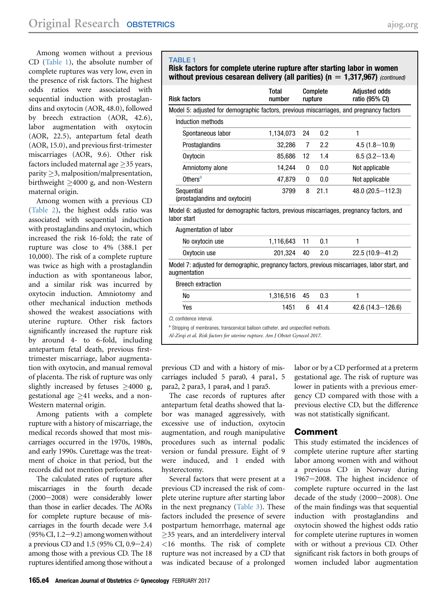Among women without a previous CD [\(Table 1\)](#page-2-0), the absolute number of complete ruptures was very low, even in the presence of risk factors. The highest odds ratios were associated with sequential induction with prostaglandins and oxytocin (AOR, 48.0), followed by breech extraction (AOR, 42.6), labor augmentation with oxytocin (AOR, 22.5), antepartum fetal death (AOR, 15.0), and previous first-trimester miscarriages (AOR, 9.6). Other risk factors included maternal age  $\geq$ 35 years,  $parity \geq 3$ , malposition/malpresentation, birthweight  $\geq$ 4000 g, and non-Western maternal origin.

Among women with a previous CD [\(Table 2\)](#page-4-0), the highest odds ratio was associated with sequential induction with prostaglandins and oxytocin, which increased the risk 16-fold; the rate of rupture was close to 4% (388.1 per 10,000). The risk of a complete rupture was twice as high with a prostaglandin induction as with spontaneous labor, and a similar risk was incurred by oxytocin induction. Amniotomy and other mechanical induction methods showed the weakest associations with uterine rupture. Other risk factors significantly increased the rupture risk by around 4- to 6-fold, including antepartum fetal death, previous firsttrimester miscarriage, labor augmentation with oxytocin, and manual removal of placenta. The risk of rupture was only slightly increased by fetuses  $\geq 4000$  g, gestational age  $\geq 41$  weeks, and a non-Western maternal origin.

Among patients with a complete rupture with a history of miscarriage, the medical records showed that most miscarriages occurred in the 1970s, 1980s, and early 1990s. Curettage was the treatment of choice in that period, but the records did not mention perforations.

The calculated rates of rupture after miscarriages in the fourth decade (2000-2008) were considerably lower than those in earlier decades. The AORs for complete rupture because of miscarriages in the fourth decade were 3.4  $(95\% \text{ CI}, 1.2-9.2)$  among women without a previous CD and  $1.5$  (95% CI, 0.9-2.4) among those with a previous CD. The 18 ruptures identified among those without a

## TABLE<sub>1</sub>

Risk factors for complete uterine rupture after starting labor in women without previous cesarean delivery (all parities) ( $n = 1,317,967$ ) (continued)

| <b>Risk factors</b>                                                                                                                                                                           | <b>Total</b><br>number | Complete<br>rupture |      | <b>Adjusted odds</b><br>ratio (95% CI) |  |
|-----------------------------------------------------------------------------------------------------------------------------------------------------------------------------------------------|------------------------|---------------------|------|----------------------------------------|--|
| Model 5: adjusted for demographic factors, previous miscarriages, and pregnancy factors                                                                                                       |                        |                     |      |                                        |  |
| Induction methods                                                                                                                                                                             |                        |                     |      |                                        |  |
| Spontaneous labor                                                                                                                                                                             | 1,134,073              | 24                  | 0.2  | 1                                      |  |
| Prostaglandins                                                                                                                                                                                | 32,286                 | 7                   | 2.2  | $4.5(1.8 - 10.9)$                      |  |
| Oxytocin                                                                                                                                                                                      | 85,686                 | 12                  | 1.4  | $6.5(3.2 - 13.4)$                      |  |
| Amniotomy alone                                                                                                                                                                               | 14,244                 | 0                   | 0.0  | Not applicable                         |  |
| Others <sup>a</sup>                                                                                                                                                                           | 47,879                 | 0                   | 0.0  | Not applicable                         |  |
| Sequential<br>(prostaglandins and oxytocin)                                                                                                                                                   | 3799                   | 8                   | 21.1 | 48.0 (20.5-112.3)                      |  |
| Model 6: adjusted for demographic factors, previous miscarriages, pregnancy factors, and<br>labor start                                                                                       |                        |                     |      |                                        |  |
| Augmentation of labor                                                                                                                                                                         |                        |                     |      |                                        |  |
| No oxytocin use                                                                                                                                                                               | 1,116,643              | 11                  | 0.1  | 1                                      |  |
| Oxytocin use                                                                                                                                                                                  | 201,324                | 40                  | 2.0  | $22.5(10.9 - 41.2)$                    |  |
| Model 7: adjusted for demographic, pregnancy factors, previous miscarriages, labor start, and<br>auamentation                                                                                 |                        |                     |      |                                        |  |
| <b>Breech extraction</b>                                                                                                                                                                      |                        |                     |      |                                        |  |
| No                                                                                                                                                                                            | 1,316,516              | 45                  | 0.3  | 1                                      |  |
| Yes                                                                                                                                                                                           | 1451                   | 6                   | 41.4 | 42.6 (14.3-126.6)                      |  |
| CI, confidence interval.<br>a Stripping of membranes, transcervical balloon catheter, and unspecified methods.<br>Al-Zirqi et al. Risk factors for uterine rupture. Am J Obstet Gynecol 2017. |                        |                     |      |                                        |  |

previous CD and with a history of miscarriages included 5 para0, 4 para1, 5 para2, 2 para3, 1 para4, and 1 para5.

The case records of ruptures after antepartum fetal deaths showed that labor was managed aggressively, with excessive use of induction, oxytocin augmentation, and rough manipulative procedures such as internal podalic version or fundal pressure. Eight of 9 were induced, and 1 ended with hysterectomy.

Several factors that were present at a previous CD increased the risk of complete uterine rupture after starting labor in the next pregnancy [\(Table 3\)](#page-6-0). These factors included the presence of severe postpartum hemorrhage, maternal age  $\geq$ 35 years, and an interdelivery interval <16 months. The risk of complete rupture was not increased by a CD that was indicated because of a prolonged

labor or by a CD performed at a preterm gestational age. The risk of rupture was lower in patients with a previous emergency CD compared with those with a previous elective CD, but the difference was not statistically significant.

## Comment

This study estimated the incidences of complete uterine rupture after starting labor among women with and without a previous CD in Norway during 1967-2008. The highest incidence of complete rupture occurred in the last decade of the study  $(2000-2008)$ . One of the main findings was that sequential induction with prostaglandins and oxytocin showed the highest odds ratio for complete uterine ruptures in women with or without a previous CD. Other significant risk factors in both groups of women included labor augmentation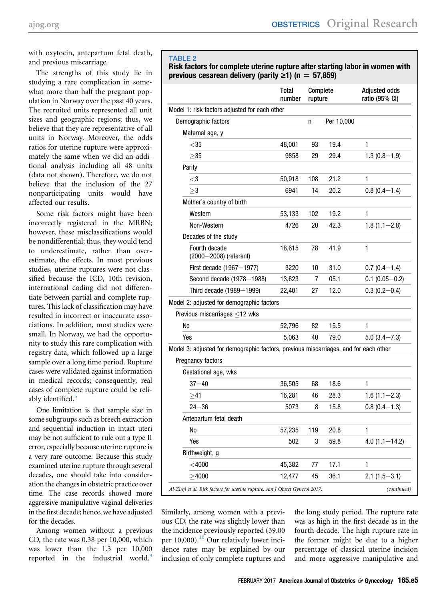<span id="page-4-0"></span>with oxytocin, antepartum fetal death, and previous miscarriage.

The strengths of this study lie in studying a rare complication in somewhat more than half the pregnant population in Norway over the past 40 years. The recruited units represented all unit sizes and geographic regions; thus, we believe that they are representative of all units in Norway. Moreover, the odds ratios for uterine rupture were approximately the same when we did an additional analysis including all 48 units (data not shown). Therefore, we do not believe that the inclusion of the 27 nonparticipating units would have affected our results.

Some risk factors might have been incorrectly registered in the MRBN; however, these misclassifications would be nondifferential; thus, they would tend to underestimate, rather than overestimate, the effects. In most previous studies, uterine ruptures were not classified because the ICD, 10th revision, international coding did not differentiate between partial and complete ruptures. This lack of classification may have resulted in incorrect or inaccurate associations. In addition, most studies were small. In Norway, we had the opportunity to study this rare complication with registry data, which followed up a large sample over a long time period. Rupture cases were validated against information in medical records; consequently, real cases of complete rupture could be reli-ably identified.<sup>[5](#page-6-0)</sup>

One limitation is that sample size in some subgroups such as breech extraction and sequential induction in intact uteri may be not sufficient to rule out a type II error, especially because uterine rupture is a very rare outcome. Because this study examined uterine rupture through several decades, one should take into consideration the changes in obstetric practice over time. The case records showed more aggressive manipulative vaginal deliveries in the first decade; hence, we have adjusted for the decades.

Among women without a previous CD, the rate was 0.38 per 10,000, which was lower than the 1.3 per 10,000 reported in the industrial world.<sup>[9](#page-6-0)</sup>

### TABLE 2

Risk factors for complete uterine rupture after starting labor in women with previous cesarean delivery (parity  $\ge$ 1) (n = 57,859)

| <b>Total</b><br>number |                                                                                            |                                                                             | <b>Adjusted odds</b><br>ratio (95% CI)                                                                      |
|------------------------|--------------------------------------------------------------------------------------------|-----------------------------------------------------------------------------|-------------------------------------------------------------------------------------------------------------|
|                        |                                                                                            |                                                                             |                                                                                                             |
|                        | n                                                                                          | Per 10,000                                                                  |                                                                                                             |
|                        |                                                                                            |                                                                             |                                                                                                             |
| 48,001                 | 93                                                                                         | 19.4                                                                        | 1                                                                                                           |
| 9858                   | 29                                                                                         | 29.4                                                                        | $1.3(0.8-1.9)$                                                                                              |
|                        |                                                                                            |                                                                             |                                                                                                             |
| 50,918                 | 108                                                                                        | 21.2                                                                        | 1                                                                                                           |
| 6941                   | 14                                                                                         | 20.2                                                                        | $0.8(0.4-1.4)$                                                                                              |
|                        |                                                                                            |                                                                             |                                                                                                             |
| 53,133                 | 102                                                                                        | 19.2                                                                        | 1                                                                                                           |
| 4726                   | 20                                                                                         | 42.3                                                                        | $1.8(1.1 - 2.8)$                                                                                            |
|                        |                                                                                            |                                                                             |                                                                                                             |
| 18,615                 | 78                                                                                         | 41.9                                                                        | 1                                                                                                           |
| 3220                   | 10                                                                                         | 31.0                                                                        | $0.7(0.4 - 1.4)$                                                                                            |
| 13,623                 | 7                                                                                          | 05.1                                                                        | $0.1(0.05-0.2)$                                                                                             |
| 22,401                 | 27                                                                                         | 12.0                                                                        | $0.3(0.2 - 0.4)$                                                                                            |
|                        |                                                                                            |                                                                             |                                                                                                             |
|                        |                                                                                            |                                                                             |                                                                                                             |
| 52,796                 | 82                                                                                         | 15.5                                                                        | 1                                                                                                           |
| 5,063                  | 40                                                                                         | 79.0                                                                        | $5.0(3.4 - 7.3)$                                                                                            |
|                        |                                                                                            |                                                                             |                                                                                                             |
|                        |                                                                                            |                                                                             |                                                                                                             |
|                        |                                                                                            |                                                                             |                                                                                                             |
| 36,505                 | 68                                                                                         | 18.6                                                                        | 1                                                                                                           |
| 16,281                 | 46                                                                                         | 28.3                                                                        | $1.6(1.1-2.3)$                                                                                              |
| 5073                   | 8                                                                                          | 15.8                                                                        | $0.8(0.4-1.3)$                                                                                              |
|                        |                                                                                            |                                                                             |                                                                                                             |
| 57,235                 | 119                                                                                        | 20.8                                                                        | 1                                                                                                           |
| 502                    | 3                                                                                          | 59.8                                                                        | $4.0(1.1 - 14.2)$                                                                                           |
|                        |                                                                                            |                                                                             |                                                                                                             |
| 45,382                 | 77                                                                                         | 17.1                                                                        | 1                                                                                                           |
| 12,477                 | 45                                                                                         | 36.1                                                                        | $2.1(1.5-3.1)$                                                                                              |
|                        |                                                                                            |                                                                             | (continued)                                                                                                 |
|                        | Model 1: risk factors adjusted for each other<br>Model 2: adjusted for demographic factors | Al-Zirqi et al. Risk factors for uterine rupture. Am J Obstet Gynecol 2017. | Complete<br>rupture<br>Model 3: adjusted for demographic factors, previous miscarriages, and for each other |

Similarly, among women with a previous CD, the rate was slightly lower than the incidence previously reported (39.00 per  $10,000$ .<sup>10</sup> Our relatively lower incidence rates may be explained by our inclusion of only complete ruptures and

the long study period. The rupture rate was as high in the first decade as in the fourth decade. The high rupture rate in the former might be due to a higher percentage of classical uterine incision and more aggressive manipulative and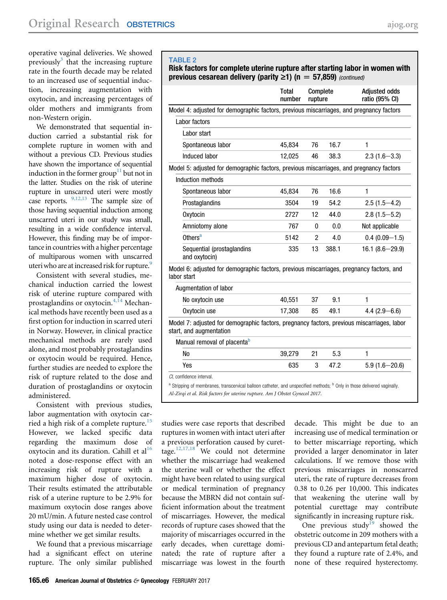operative vaginal deliveries. We showed previously<sup>[3](#page-6-0)</sup> that the increasing rupture rate in the fourth decade may be related to an increased use of sequential induction, increasing augmentation with oxytocin, and increasing percentages of older mothers and immigrants from non-Western origin.

We demonstrated that sequential induction carried a substantial risk for complete rupture in women with and without a previous CD. Previous studies have shown the importance of sequential induction in the former group<sup>11</sup> but not in the latter. Studies on the risk of uterine rupture in unscarred uteri were mostly case reports.  $9,12,13$  The sample size of those having sequential induction among unscarred uteri in our study was small, resulting in a wide confidence interval. However, this finding may be of importance in countries with a higher percentage of multiparous women with unscarred uteri who are at increased risk for rupture.<sup>[9](#page-6-0)</sup>

Consistent with several studies, mechanical induction carried the lowest risk of uterine rupture compared with prostaglandins or oxytocin.[4,14](#page-6-0) Mechanical methods have recently been used as a first option for induction in scarred uteri in Norway. However, in clinical practice mechanical methods are rarely used alone, and most probably prostaglandins or oxytocin would be required. Hence, further studies are needed to explore the risk of rupture related to the dose and duration of prostaglandins or oxytocin administered.

Consistent with previous studies, labor augmentation with oxytocin carried a high risk of a complete rupture.<sup>15</sup> However, we lacked specific data regarding the maximum dose of oxytocin and its duration. Cahill et  $al^{16}$  $al^{16}$  $al^{16}$ noted a dose-response effect with an increasing risk of rupture with a maximum higher dose of oxytocin. Their results estimated the attributable risk of a uterine rupture to be 2.9% for maximum oxytocin dose ranges above 20 mU/min. A future nested case control study using our data is needed to determine whether we get similar results.

We found that a previous miscarriage had a significant effect on uterine rupture. The only similar published

# TABLE 2

Risk factors for complete uterine rupture after starting labor in women with previous cesarean delivery (parity  $\geq 1$ ) (n = 57,859) (continued)

|                                                                                                                       | <b>Total</b><br>number | Complete<br>rupture |       | <b>Adjusted odds</b><br>ratio (95% CI) |
|-----------------------------------------------------------------------------------------------------------------------|------------------------|---------------------|-------|----------------------------------------|
| Model 4: adjusted for demographic factors, previous miscarriages, and pregnancy factors                               |                        |                     |       |                                        |
| Labor factors                                                                                                         |                        |                     |       |                                        |
| Labor start                                                                                                           |                        |                     |       |                                        |
| Spontaneous labor                                                                                                     | 45,834                 | 76                  | 16.7  | 1                                      |
| Induced labor                                                                                                         | 12,025                 | 46                  | 38.3  | $2.3(1.6 - 3.3)$                       |
| Model 5: adjusted for demographic factors, previous miscarriages, and pregnancy factors                               |                        |                     |       |                                        |
| Induction methods                                                                                                     |                        |                     |       |                                        |
| Spontaneous labor                                                                                                     | 45,834                 | 76                  | 16.6  | $\mathbf{1}$                           |
| Prostaglandins                                                                                                        | 3504                   | 19                  | 54.2  | $2.5(1.5-4.2)$                         |
| Oxytocin                                                                                                              | 2727                   | 12                  | 44.0  | $2.8(1.5 - 5.2)$                       |
| Amniotomy alone                                                                                                       | 767                    | 0                   | 0.0   | Not applicable                         |
| Others <sup>a</sup>                                                                                                   | 5142                   | 2                   | 4.0   | $0.4(0.09 - 1.5)$                      |
| Sequential (prostaglandins<br>and oxytocin)                                                                           | 335                    | 13                  | 388.1 | $16.1 (8.6 - 29.9)$                    |
| Model 6: adjusted for demographic factors, previous miscarriages, pregnancy factors, and<br>labor start               |                        |                     |       |                                        |
| Augmentation of labor                                                                                                 |                        |                     |       |                                        |
| No oxytocin use                                                                                                       | 40,551                 | 37                  | 9.1   | $\mathbf{1}$                           |
| Oxytocin use                                                                                                          | 17,308                 | 85                  | 49.1  | 4.4 $(2.9 - 6.6)$                      |
| Model 7: adjusted for demographic factors, pregnancy factors, previous miscarriages, labor<br>start, and augmentation |                        |                     |       |                                        |
| Manual removal of placenta <sup>b</sup>                                                                               |                        |                     |       |                                        |
| <b>No</b>                                                                                                             | 39,279                 | 21                  | 5.3   | 1                                      |
| Yes                                                                                                                   | 635                    | 3                   | 47.2  | $5.9(1.6 - 20.6)$                      |
| Cl. confidence interval.                                                                                              |                        |                     |       |                                        |

CI, confidence interval.

<sup>a</sup> Stripping of membranes, transcervical balloon catheter, and unspecified methods; <sup>b</sup> Only in those delivered vaginally. Al-Zirqi et al. Risk factors for uterine rupture. Am J Obstet Gynecol 2017.

studies were case reports that described ruptures in women with intact uteri after a previous perforation caused by curettage. $12,17,18$  We could not determine whether the miscarriage had weakened the uterine wall or whether the effect might have been related to using surgical or medical termination of pregnancy because the MBRN did not contain sufficient information about the treatment of miscarriages. However, the medical records of rupture cases showed that the majority of miscarriages occurred in the early decades, when curettage dominated; the rate of rupture after a miscarriage was lowest in the fourth

decade. This might be due to an increasing use of medical termination or to better miscarriage reporting, which provided a larger denominator in later calculations. If we remove those with previous miscarriages in nonscarred uteri, the rate of rupture decreases from 0.38 to 0.26 per 10,000. This indicates that weakening the uterine wall by potential curettage may contribute significantly in increasing rupture risk.

One previous study<sup>[19](#page-7-0)</sup> showed the obstetric outcome in 209 mothers with a previous CD and antepartum fetal death; they found a rupture rate of 2.4%, and none of these required hysterectomy.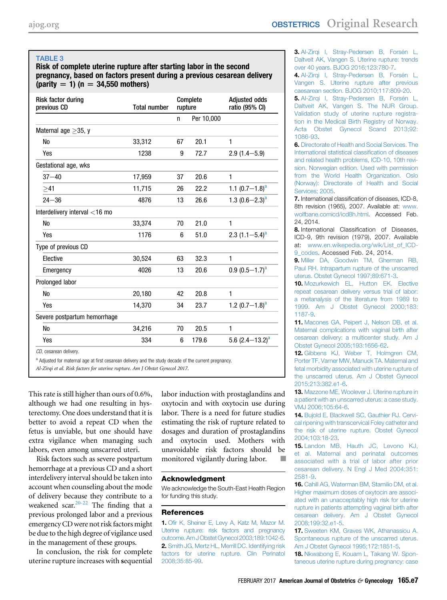## <span id="page-6-0"></span>TABLE 3

Risk of complete uterine rupture after starting labor in the second pregnancy, based on factors present during a previous cesarean delivery (parity  $= 1$ ) (n  $= 34,550$  mothers)

| <b>Risk factor during</b><br>previous CD | <b>Total number</b> | Complete<br>rupture |            | <b>Adjusted odds</b><br>ratio (95% CI) |
|------------------------------------------|---------------------|---------------------|------------|----------------------------------------|
|                                          |                     | n                   | Per 10,000 |                                        |
| Maternal age $\geq$ 35, y                |                     |                     |            |                                        |
| <b>No</b>                                | 33,312              | 67                  | 20.1       | 1                                      |
| Yes                                      | 1238                | 9                   | 72.7       | $2.9(1.4 - 5.9)$                       |
| Gestational age, wks                     |                     |                     |            |                                        |
| $37 - 40$                                | 17,959              | 37                  | 20.6       | 1                                      |
| >41                                      | 11,715              | 26                  | 22.2       | 1.1 $(0.7-1.8)^a$                      |
| $24 - 36$                                | 4876                | 13                  | 26.6       | 1.3 $(0.6-2.3)^a$                      |
| Interdelivery interval $<$ 16 mo         |                     |                     |            |                                        |
| <b>No</b>                                | 33,374              | 70                  | 21.0       | 1                                      |
| Yes                                      | 1176                | 6                   | 51.0       | 2.3 $(1.1-5.4)^a$                      |
| Type of previous CD                      |                     |                     |            |                                        |
| Elective                                 | 30,524              | 63                  | 32.3       | $\mathbf{1}$                           |
| Emergency                                | 4026                | 13                  | 20.6       | $0.9(0.5-1.7)^a$                       |
| Prolonged labor                          |                     |                     |            |                                        |
| <b>No</b>                                | 20,180              | 42                  | 20.8       | $\mathbf{1}$                           |
| Yes                                      | 14,370              | 34                  | 23.7       | 1.2 $(0.7-1.8)^a$                      |
| Severe postpartum hemorrhage             |                     |                     |            |                                        |
| <b>No</b>                                | 34,216              | 70                  | 20.5       | $\mathbf{1}$                           |
| Yes                                      | 334                 | 6                   | 179.6      | 5.6 $(2.4-13.2)^a$                     |
| CD coorpoon delivery                     |                     |                     |            |                                        |

CD, cesarean delivery.

<sup>a</sup> Adjusted for maternal age at first cesarean delivery and the study decade of the current pregnancy.

Al-Zirqi et al. Risk factors for uterine rupture. Am J Obstet Gynecol 2017.

This rate is still higher than ours of 0.6%, although we had one resulting in hysterectomy. One does understand that it is better to avoid a repeat CD when the fetus is unviable, but one should have extra vigilance when managing such labors, even among unscarred uteri.

Risk factors such as severe postpartum hemorrhage at a previous CD and a short interdelivery interval should be taken into account when counseling about the mode of delivery because they contribute to a weakened scar.<sup>[20-22](#page-7-0)</sup> The finding that a previous prolonged labor and a previous emergency CD were not risk factors might be due to the high degree of vigilance used in the management of these groups.

In conclusion, the risk for complete uterine rupture increases with sequential

labor induction with prostaglandins and oxytocin and with oxytocin use during labor. There is a need for future studies estimating the risk of rupture related to dosages and duration of prostaglandins and oxytocin used. Mothers with unavoidable risk factors should be monitored vigilantly during labor.

#### Acknowledgment

We acknowledge the South-East Health Region for funding this study.

#### References

1. Ofi[r K, Sheiner E, Levy A, Katz M, Mazor M.](http://refhub.elsevier.com/S0002-9378(16)30912-7/sref1) [Uterine rupture: risk factors and pregnancy](http://refhub.elsevier.com/S0002-9378(16)30912-7/sref1) [outcome. Am J Obstet Gynecol 2003;189:1042-6](http://refhub.elsevier.com/S0002-9378(16)30912-7/sref1). 2. [Smith JG, Mertz HL, Merrill DC. Identifying risk](http://refhub.elsevier.com/S0002-9378(16)30912-7/sref2) [factors for uterine rupture. Clin Perinatol](http://refhub.elsevier.com/S0002-9378(16)30912-7/sref2) [2008;35:85-99](http://refhub.elsevier.com/S0002-9378(16)30912-7/sref2).

3. [Al-Zirqi I, Stray-Pedersen B, Forsén L,](http://refhub.elsevier.com/S0002-9378(16)30912-7/sref3) [Daltveit AK, Vangen S. Uterine rupture: trends](http://refhub.elsevier.com/S0002-9378(16)30912-7/sref3) [over 40 years. BJOG 2016;123:780-7](http://refhub.elsevier.com/S0002-9378(16)30912-7/sref3).

4. [Al-Zirqi I, Stray-Pedersen B, Forsén L,](http://refhub.elsevier.com/S0002-9378(16)30912-7/sref4) [Vangen S. Uterine rupture after previous](http://refhub.elsevier.com/S0002-9378(16)30912-7/sref4) [caesarean section. BJOG 2010;117:809-20](http://refhub.elsevier.com/S0002-9378(16)30912-7/sref4).

5. Al-Zirgi I, Stray-Pedersen B, Forsén L, [Daltveit AK, Vangen S. The NUR Group.](http://refhub.elsevier.com/S0002-9378(16)30912-7/sref5) [Validation study of uterine rupture registra](http://refhub.elsevier.com/S0002-9378(16)30912-7/sref5)[tion in the Medical Birth Registry of Norway.](http://refhub.elsevier.com/S0002-9378(16)30912-7/sref5) [Acta Obstet Gynecol Scand 2013;92:](http://refhub.elsevier.com/S0002-9378(16)30912-7/sref5) [1086-93.](http://refhub.elsevier.com/S0002-9378(16)30912-7/sref5)

6. [Directorate of Health and Social Services. The](http://refhub.elsevier.com/S0002-9378(16)30912-7/sref6) [International statistical classi](http://refhub.elsevier.com/S0002-9378(16)30912-7/sref6)fication of diseases [and related health problems, ICD-10, 10th revi](http://refhub.elsevier.com/S0002-9378(16)30912-7/sref6)[sion. Norwegian edition. Used with permission](http://refhub.elsevier.com/S0002-9378(16)30912-7/sref6) [from the World Health Organization. Oslo](http://refhub.elsevier.com/S0002-9378(16)30912-7/sref6) [\(Norway\): Directorate of Health and Social](http://refhub.elsevier.com/S0002-9378(16)30912-7/sref6) [Services; 2005.](http://refhub.elsevier.com/S0002-9378(16)30912-7/sref6)

7. International classification of diseases, ICD-8, 8th revision (1965), 2007. Available at: [www.](http://www.wolfbane.comicd/icd8h.html) [wolfbane.comicd/icd8h.html](http://www.wolfbane.comicd/icd8h.html). Accessed Feb. 24, 2014.

8. International Classification of Diseases, ICD-9, 9th revision (1979), 2007. Available at: [www.en.wikepedia.org/wik/List\\_of\\_ICD-](http://www.en.wikepedia.org/wik/List_of_ICD-9_codes)[9\\_codes](http://www.en.wikepedia.org/wik/List_of_ICD-9_codes). Accessed Feb. 24, 2014.

9. [Miller DA, Goodwin TM, Gherman RB,](http://refhub.elsevier.com/S0002-9378(16)30912-7/sref9) [Paul RH. Intrapartum rupture of the unscarred](http://refhub.elsevier.com/S0002-9378(16)30912-7/sref9) [uterus. Obstet Gynecol 1997;89:671-3.](http://refhub.elsevier.com/S0002-9378(16)30912-7/sref9)

10. [Mozurkewich EL, Hutton EK. Elective](http://refhub.elsevier.com/S0002-9378(16)30912-7/sref10) [repeat cesarean delivery versus trial of labor:](http://refhub.elsevier.com/S0002-9378(16)30912-7/sref10) [a metanalysis of the literature from 1989 to](http://refhub.elsevier.com/S0002-9378(16)30912-7/sref10) [1999. Am J Obstet Gynecol 2000;183:](http://refhub.elsevier.com/S0002-9378(16)30912-7/sref10) [1187-9](http://refhub.elsevier.com/S0002-9378(16)30912-7/sref10).

11. [Macones GA, Peipert J, Nelson DB, et al.](http://refhub.elsevier.com/S0002-9378(16)30912-7/sref11) [Maternal complications with vaginal birth after](http://refhub.elsevier.com/S0002-9378(16)30912-7/sref11) [cesarean delivery: a multicenter study. Am J](http://refhub.elsevier.com/S0002-9378(16)30912-7/sref11) [Obstet Gynecol 2005;193:1656-62.](http://refhub.elsevier.com/S0002-9378(16)30912-7/sref11)

12. [Gibbens KJ, Weber T, Holmgren CM,](http://refhub.elsevier.com/S0002-9378(16)30912-7/sref12) [Porter TF, Varner MW, Manuck TA. Maternal and](http://refhub.elsevier.com/S0002-9378(16)30912-7/sref12) [fetal morbidity associated with uterine rupture of](http://refhub.elsevier.com/S0002-9378(16)30912-7/sref12) [the unscarred uterus. Am J Obstet Gynecol](http://refhub.elsevier.com/S0002-9378(16)30912-7/sref12) [2015;213:382.e1-6.](http://refhub.elsevier.com/S0002-9378(16)30912-7/sref12)

13. [Mazzone ME, Woolever J. Uterine rupture in](http://refhub.elsevier.com/S0002-9378(16)30912-7/sref13) [a patient with an unscarred uterus: a case study.](http://refhub.elsevier.com/S0002-9378(16)30912-7/sref13) [VMJ 2006;105:64-6.](http://refhub.elsevier.com/S0002-9378(16)30912-7/sref13)

14. [Bujold E, Blackwell SC, Gauthier RJ. Cervi](http://refhub.elsevier.com/S0002-9378(16)30912-7/sref14)[cal ripening with transcervical Foley catheter and](http://refhub.elsevier.com/S0002-9378(16)30912-7/sref14) [the risk of uterine rupture. Obstet Gynecol](http://refhub.elsevier.com/S0002-9378(16)30912-7/sref14) [2004;103:18-23](http://refhub.elsevier.com/S0002-9378(16)30912-7/sref14).

15. [Landon MB, Hauth JC, Levono KJ,](http://refhub.elsevier.com/S0002-9378(16)30912-7/sref15) [et al. Maternal and perinatal outcomes](http://refhub.elsevier.com/S0002-9378(16)30912-7/sref15) [associated with a trial of labor after prior](http://refhub.elsevier.com/S0002-9378(16)30912-7/sref15) [cesarean delivery. N Engl J Med 2004;351:](http://refhub.elsevier.com/S0002-9378(16)30912-7/sref15) [2581-9](http://refhub.elsevier.com/S0002-9378(16)30912-7/sref15).

16. [Cahill AG, Waterman BM, Stamilio DM, et al.](http://refhub.elsevier.com/S0002-9378(16)30912-7/sref16) [Higher maximum doses of oxytocin are associ](http://refhub.elsevier.com/S0002-9378(16)30912-7/sref16)[ated with an unacceptably high risk for uterine](http://refhub.elsevier.com/S0002-9378(16)30912-7/sref16) [rupture in patients attempting vaginal birth after](http://refhub.elsevier.com/S0002-9378(16)30912-7/sref16) [cesarean delivery. Am J Obstet Gynecol](http://refhub.elsevier.com/S0002-9378(16)30912-7/sref16) [2008;199:32.e1-5](http://refhub.elsevier.com/S0002-9378(16)30912-7/sref16).

17. [Sweeten KM, Graves WK, Athanassiou A.](http://refhub.elsevier.com/S0002-9378(16)30912-7/sref17) [Spontaneous rupture of the unscarred uterus.](http://refhub.elsevier.com/S0002-9378(16)30912-7/sref17) [Am J Obstet Gynecol 1995;172:1851-5](http://refhub.elsevier.com/S0002-9378(16)30912-7/sref17).

18. [Nkwabong E, Kouam L, Takang W. Spon](http://refhub.elsevier.com/S0002-9378(16)30912-7/sref18)[taneous uterine rupture during pregnancy: case](http://refhub.elsevier.com/S0002-9378(16)30912-7/sref18)